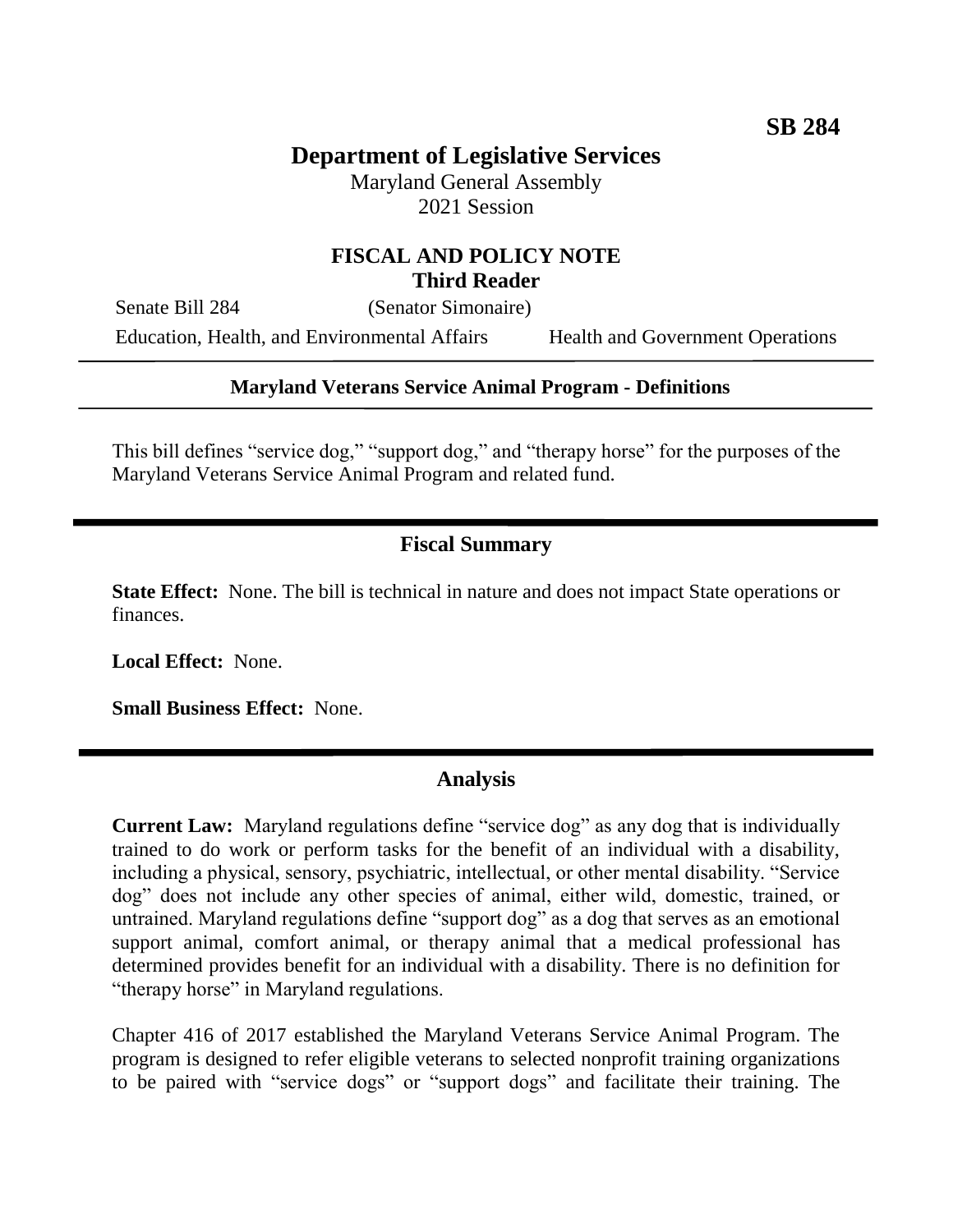# **Department of Legislative Services**

Maryland General Assembly 2021 Session

### **FISCAL AND POLICY NOTE Third Reader**

Senate Bill 284 (Senator Simonaire) Education, Health, and Environmental Affairs Health and Government Operations

#### **Maryland Veterans Service Animal Program - Definitions**

This bill defines "service dog," "support dog," and "therapy horse" for the purposes of the Maryland Veterans Service Animal Program and related fund.

### **Fiscal Summary**

**State Effect:** None. The bill is technical in nature and does not impact State operations or finances.

**Local Effect:** None.

**Small Business Effect:** None.

#### **Analysis**

**Current Law:** Maryland regulations define "service dog" as any dog that is individually trained to do work or perform tasks for the benefit of an individual with a disability, including a physical, sensory, psychiatric, intellectual, or other mental disability. "Service dog" does not include any other species of animal, either wild, domestic, trained, or untrained. Maryland regulations define "support dog" as a dog that serves as an emotional support animal, comfort animal, or therapy animal that a medical professional has determined provides benefit for an individual with a disability. There is no definition for "therapy horse" in Maryland regulations.

Chapter 416 of 2017 established the Maryland Veterans Service Animal Program. The program is designed to refer eligible veterans to selected nonprofit training organizations to be paired with "service dogs" or "support dogs" and facilitate their training. The